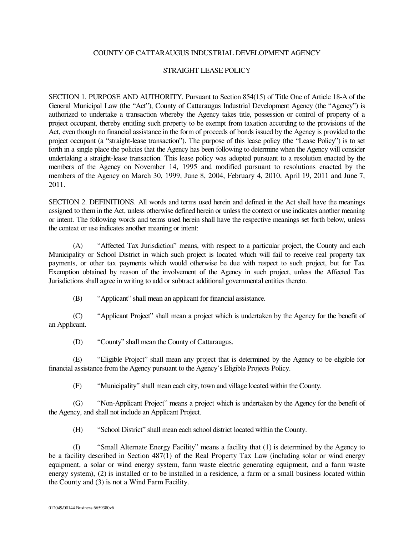## COUNTY OF CATTARAUGUS INDUSTRIAL DEVELOPMENT AGENCY

## STRAIGHT LEASE POLICY

SECTION 1. PURPOSE AND AUTHORITY. Pursuant to Section 854(15) of Title One of Article 18-A of the General Municipal Law (the "Act"), County of Cattaraugus Industrial Development Agency (the "Agency") is authorized to undertake a transaction whereby the Agency takes title, possession or control of property of a project occupant, thereby entitling such property to be exempt from taxation according to the provisions of the Act, even though no financial assistance in the form of proceeds of bonds issued by the Agency is provided to the project occupant (a "straight-lease transaction"). The purpose of this lease policy (the "Lease Policy") is to set forth in a single place the policies that the Agency has been following to determine when the Agency will consider undertaking a straight-lease transaction. This lease policy was adopted pursuant to a resolution enacted by the members of the Agency on November 14, 1995 and modified pursuant to resolutions enacted by the members of the Agency on March 30, 1999, June 8, 2004, February 4, 2010, April 19, 2011 and June 7, 2011.

SECTION 2. DEFINITIONS. All words and terms used herein and defined in the Act shall have the meanings assigned to them in the Act, unless otherwise defined herein or unless the context or use indicates another meaning or intent. The following words and terms used herein shall have the respective meanings set forth below, unless the context or use indicates another meaning or intent:

(A) "Affected Tax Jurisdiction" means, with respect to a particular project, the County and each Municipality or School District in which such project is located which will fail to receive real property tax payments, or other tax payments which would otherwise be due with respect to such project, but for Tax Exemption obtained by reason of the involvement of the Agency in such project, unless the Affected Tax Jurisdictions shall agree in writing to add or subtract additional governmental entities thereto.

(B) "Applicant" shall mean an applicant for financial assistance.

(C) "Applicant Project" shall mean a project which is undertaken by the Agency for the benefit of an Applicant.

(D) "County" shall mean the County of Cattaraugus.

(E) "Eligible Project" shall mean any project that is determined by the Agency to be eligible for financial assistance from the Agency pursuant to the Agency's Eligible Projects Policy.

(F) "Municipality" shall mean each city, town and village located within the County.

(G) "Non-Applicant Project" means a project which is undertaken by the Agency for the benefit of the Agency, and shall not include an Applicant Project.

(H) "School District" shall mean each school district located within the County.

(I) "Small Alternate Energy Facility" means a facility that (1) is determined by the Agency to be a facility described in Section 487(1) of the Real Property Tax Law (including solar or wind energy equipment, a solar or wind energy system, farm waste electric generating equipment, and a farm waste energy system), (2) is installed or to be installed in a residence, a farm or a small business located within the County and (3) is not a Wind Farm Facility.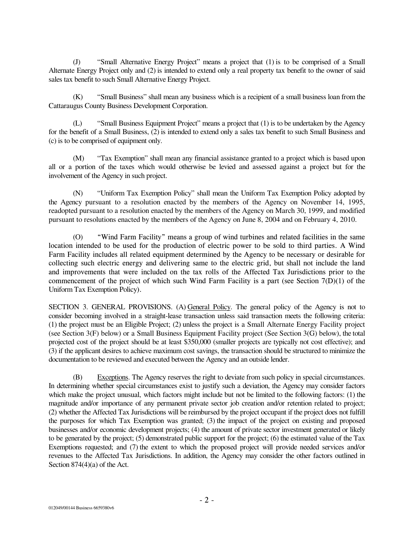(J) "Small Alternative Energy Project" means a project that (1) is to be comprised of a Small Alternate Energy Project only and (2) is intended to extend only a real property tax benefit to the owner of said sales tax benefit to such Small Alternative Energy Project.

(K) "Small Business" shall mean any business which is a recipient of a small business loan from the Cattaraugus County Business Development Corporation.

(L) "Small Business Equipment Project" means a project that (1) is to be undertaken by the Agency for the benefit of a Small Business, (2) is intended to extend only a sales tax benefit to such Small Business and (c) is to be comprised of equipment only.

(M) "Tax Exemption" shall mean any financial assistance granted to a project which is based upon all or a portion of the taxes which would otherwise be levied and assessed against a project but for the involvement of the Agency in such project.

(N) "Uniform Tax Exemption Policy" shall mean the Uniform Tax Exemption Policy adopted by the Agency pursuant to a resolution enacted by the members of the Agency on November 14, 1995, readopted pursuant to a resolution enacted by the members of the Agency on March 30, 1999, and modified pursuant to resolutions enacted by the members of the Agency on June 8, 2004 and on February 4, 2010.

(O) "Wind Farm Facility" means a group of wind turbines and related facilities in the same location intended to be used for the production of electric power to be sold to third parties. A Wind Farm Facility includes all related equipment determined by the Agency to be necessary or desirable for collecting such electric energy and delivering same to the electric grid, but shall not include the land and improvements that were included on the tax rolls of the Affected Tax Jurisdictions prior to the commencement of the project of which such Wind Farm Facility is a part (see Section  $7(D)(1)$  of the Uniform Tax Exemption Policy)

SECTION 3. GENERAL PROVISIONS. (A) General Policy. The general policy of the Agency is not to consider becoming involved in a straight-lease transaction unless said transaction meets the following criteria: (1) the project must be an Eligible Project; (2) unless the project is a Small Alternate Energy Facility project (see Section 3(F) below) or a Small Business Equipment Facility project (See Section 3(G) below), the total projected cost of the project should be at least \$350,000 (smaller projects are typically not cost effective); and (3) if the applicant desires to achieve maximum cost savings, the transaction should be structured to minimize the documentation to be reviewed and executed between the Agency and an outside lender.

(B) Exceptions. The Agency reserves the right to deviate from such policy in special circumstances. In determining whether special circumstances exist to justify such a deviation, the Agency may consider factors which make the project unusual, which factors might include but not be limited to the following factors: (1) the magnitude and/or importance of any permanent private sector job creation and/or retention related to project; (2) whether the Affected Tax Jurisdictions will be reimbursed by the project occupant if the project does not fulfill the purposes for which Tax Exemption was granted; (3) the impact of the project on existing and proposed businesses and/or economic development projects; (4) the amount of private sector investment generated or likely to be generated by the project; (5) demonstrated public support for the project; (6) the estimated value of the Tax Exemptions requested; and (7) the extent to which the proposed project will provide needed services and/or revenues to the Affected Tax Jurisdictions. In addition, the Agency may consider the other factors outlined in Section 874(4)(a) of the Act.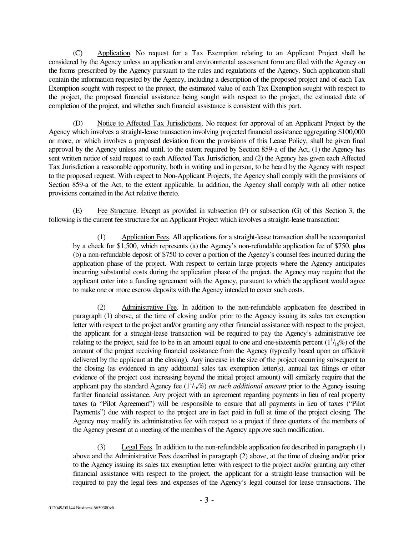(C) Application. No request for a Tax Exemption relating to an Applicant Project shall be considered by the Agency unless an application and environmental assessment form are filed with the Agency on the forms prescribed by the Agency pursuant to the rules and regulations of the Agency. Such application shall contain the information requested by the Agency, including a description of the proposed project and of each Tax Exemption sought with respect to the project, the estimated value of each Tax Exemption sought with respect to the project, the proposed financial assistance being sought with respect to the project, the estimated date of completion of the project, and whether such financial assistance is consistent with this part.

(D) Notice to Affected Tax Jurisdictions. No request for approval of an Applicant Project by the Agency which involves a straight-lease transaction involving projected financial assistance aggregating \$100,000 or more, or which involves a proposed deviation from the provisions of this Lease Policy, shall be given final approval by the Agency unless and until, to the extent required by Section 859-a of the Act, (1) the Agency has sent written notice of said request to each Affected Tax Jurisdiction, and (2) the Agency has given each Affected Tax Jurisdiction a reasonable opportunity, both in writing and in person, to be heard by the Agency with respect to the proposed request. With respect to Non-Applicant Projects, the Agency shall comply with the provisions of Section 859-a of the Act, to the extent applicable. In addition, the Agency shall comply with all other notice provisions contained in the Act relative thereto.

(E) Fee Structure. Except as provided in subsection  $(F)$  or subsection  $(G)$  of this Section 3, the following is the current fee structure for an Applicant Project which involves a straight-lease transaction:

(1) Application Fees. All applications for a straight-lease transaction shall be accompanied by a check for \$1,500, which represents (a) the Agency's non-refundable application fee of \$750, **plus**  (b) a non-refundable deposit of \$750 to cover a portion of the Agency's counsel fees incurred during the application phase of the project. With respect to certain large projects where the Agency anticipates incurring substantial costs during the application phase of the project, the Agency may require that the applicant enter into a funding agreement with the Agency, pursuant to which the applicant would agree to make one or more escrow deposits with the Agency intended to cover such costs.

(2) Administrative Fee. In addition to the non-refundable application fee described in paragraph (1) above, at the time of closing and/or prior to the Agency issuing its sales tax exemption letter with respect to the project and/or granting any other financial assistance with respect to the project, the applicant for a straight-lease transaction will be required to pay the Agency's administrative fee relating to the project, said fee to be in an amount equal to one and one-sixteenth percent  $(1<sup>1</sup>/_{16}\%)$  of the amount of the project receiving financial assistance from the Agency (typically based upon an affidavit delivered by the applicant at the closing). Any increase in the size of the project occurring subsequent to the closing (as evidenced in any additional sales tax exemption letter(s), annual tax filings or other evidence of the project cost increasing beyond the initial project amount) will similarly require that the applicant pay the standard Agency fee  $(1^{1}/_{16}\%)$  *on such additional amount* prior to the Agency issuing further financial assistance. Any project with an agreement regarding payments in lieu of real property taxes (a "Pilot Agreement") will be responsible to ensure that all payments in lieu of taxes ("Pilot Payments") due with respect to the project are in fact paid in full at time of the project closing. The Agency may modify its administrative fee with respect to a project if three quarters of the members of the Agency present at a meeting of the members of the Agency approve such modification.

(3) Legal Fees. In addition to the non-refundable application fee described in paragraph (1) above and the Administrative Fees described in paragraph (2) above, at the time of closing and/or prior to the Agency issuing its sales tax exemption letter with respect to the project and/or granting any other financial assistance with respect to the project, the applicant for a straight-lease transaction will be required to pay the legal fees and expenses of the Agency's legal counsel for lease transactions. The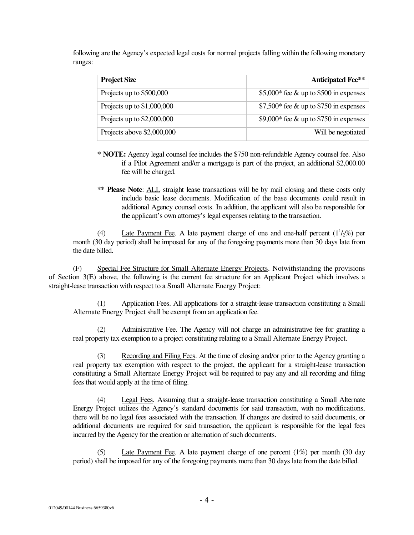following are the Agency's expected legal costs for normal projects falling within the following monetary ranges:

| <b>Project Size</b>         | <b>Anticipated Fee**</b>                  |
|-----------------------------|-------------------------------------------|
| Projects up to \$500,000    | \$5,000* fee & up to \$500 in expenses    |
| Projects up to $$1,000,000$ | $$7,500*$ fee & up to \$750 in expenses   |
| Projects up to $$2,000,000$ | \$9,000* fee $\&$ up to \$750 in expenses |
| Projects above \$2,000,000  | Will be negotiated                        |

- **\* NOTE:** Agency legal counsel fee includes the \$750 non-refundable Agency counsel fee. Also if a Pilot Agreement and/or a mortgage is part of the project, an additional \$2,000.00 fee will be charged.
- **\*\* Please Note**: ALL straight lease transactions will be by mail closing and these costs only include basic lease documents. Modification of the base documents could result in additional Agency counsel costs. In addition, the applicant will also be responsible for the applicant's own attorney's legal expenses relating to the transaction.

(4) Late Payment Fee. A late payment charge of one and one-half percent  $(1<sup>1</sup>/2%)$  per month (30 day period) shall be imposed for any of the foregoing payments more than 30 days late from the date billed.

(F) Special Fee Structure for Small Alternate Energy Projects. Notwithstanding the provisions of Section 3(E) above, the following is the current fee structure for an Applicant Project which involves a straight-lease transaction with respect to a Small Alternate Energy Project:

(1) Application Fees. All applications for a straight-lease transaction constituting a Small Alternate Energy Project shall be exempt from an application fee.

(2) Administrative Fee. The Agency will not charge an administrative fee for granting a real property tax exemption to a project constituting relating to a Small Alternate Energy Project.

(3) Recording and Filing Fees. At the time of closing and/or prior to the Agency granting a real property tax exemption with respect to the project, the applicant for a straight-lease transaction constituting a Small Alternate Energy Project will be required to pay any and all recording and filing fees that would apply at the time of filing.

(4) Legal Fees. Assuming that a straight-lease transaction constituting a Small Alternate Energy Project utilizes the Agency's standard documents for said transaction, with no modifications, there will be no legal fees associated with the transaction. If changes are desired to said documents, or additional documents are required for said transaction, the applicant is responsible for the legal fees incurred by the Agency for the creation or alternation of such documents.

(5) Late Payment Fee. A late payment charge of one percent (1%) per month (30 day period) shall be imposed for any of the foregoing payments more than 30 days late from the date billed.